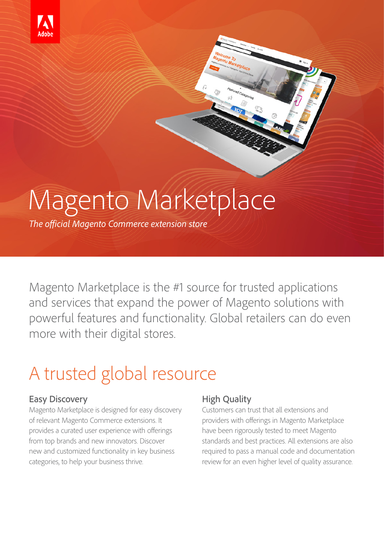# Magento Marketplace

*The official Magento Commerce extension store*

Magento Marketplace is the #1 source for trusted applications and services that expand the power of Magento solutions with powerful features and functionality. Global retailers can do even more with their digital stores.

## A trusted global resource

#### Easy Discovery

Magento Marketplace is designed for easy discovery of relevant Magento Commerce extensions. It provides a curated user experience with offerings from top brands and new innovators. Discover new and customized functionality in key business categories, to help your business thrive.

### High Quality

Customers can trust that all extensions and providers with offerings in Magento Marketplace have been rigorously tested to meet Magento standards and best practices. All extensions are also required to pass a manual code and documentation review for an even higher level of quality assurance.